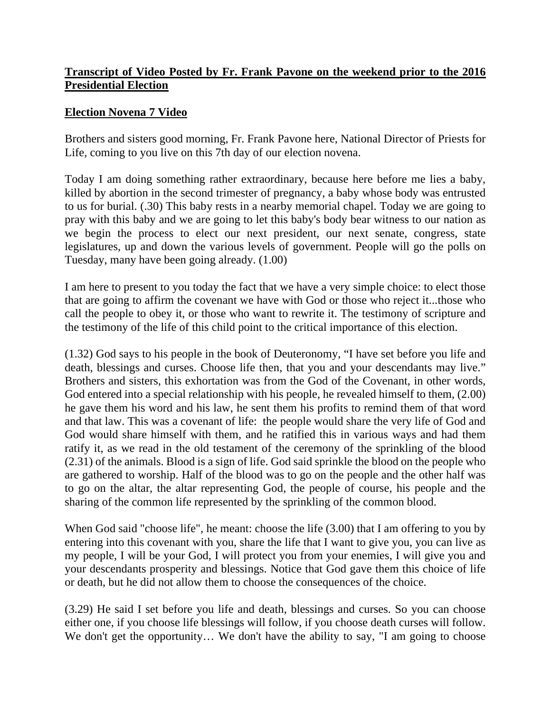## **Transcript of Video Posted by Fr. Frank Pavone on the weekend prior to the 2016 Presidential Election**

## **Election Novena 7 Video**

Brothers and sisters good morning, Fr. Frank Pavone here, National Director of Priests for Life, coming to you live on this 7th day of our election novena.

Today I am doing something rather extraordinary, because here before me lies a baby, killed by abortion in the second trimester of pregnancy, a baby whose body was entrusted to us for burial. (.30) This baby rests in a nearby memorial chapel. Today we are going to pray with this baby and we are going to let this baby's body bear witness to our nation as we begin the process to elect our next president, our next senate, congress, state legislatures, up and down the various levels of government. People will go the polls on Tuesday, many have been going already. (1.00)

I am here to present to you today the fact that we have a very simple choice: to elect those that are going to affirm the covenant we have with God or those who reject it...those who call the people to obey it, or those who want to rewrite it. The testimony of scripture and the testimony of the life of this child point to the critical importance of this election.

(1.32) God says to his people in the book of Deuteronomy, "I have set before you life and death, blessings and curses. Choose life then, that you and your descendants may live." Brothers and sisters, this exhortation was from the God of the Covenant, in other words, God entered into a special relationship with his people, he revealed himself to them, (2.00) he gave them his word and his law, he sent them his profits to remind them of that word and that law. This was a covenant of life: the people would share the very life of God and God would share himself with them, and he ratified this in various ways and had them ratify it, as we read in the old testament of the ceremony of the sprinkling of the blood (2.31) of the animals. Blood is a sign of life. God said sprinkle the blood on the people who are gathered to worship. Half of the blood was to go on the people and the other half was to go on the altar, the altar representing God, the people of course, his people and the sharing of the common life represented by the sprinkling of the common blood.

When God said "choose life", he meant: choose the life (3.00) that I am offering to you by entering into this covenant with you, share the life that I want to give you, you can live as my people, I will be your God, I will protect you from your enemies, I will give you and your descendants prosperity and blessings. Notice that God gave them this choice of life or death, but he did not allow them to choose the consequences of the choice.

(3.29) He said I set before you life and death, blessings and curses. So you can choose either one, if you choose life blessings will follow, if you choose death curses will follow. We don't get the opportunity... We don't have the ability to say, "I am going to choose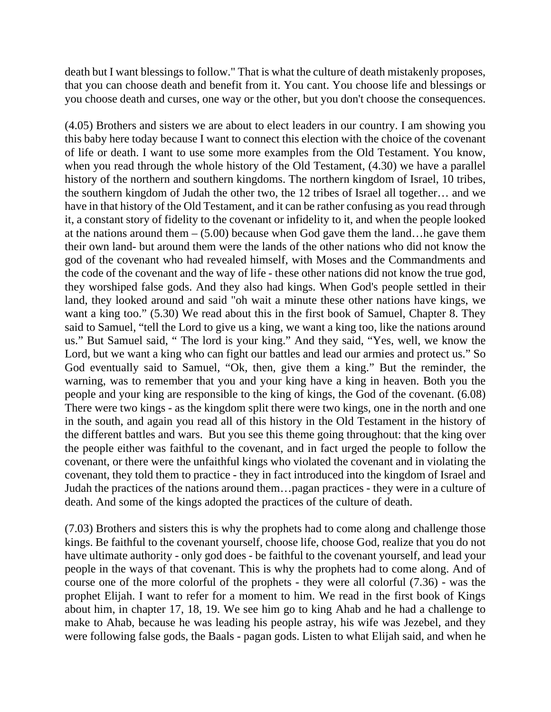death but I want blessings to follow." That is what the culture of death mistakenly proposes, that you can choose death and benefit from it. You cant. You choose life and blessings or you choose death and curses, one way or the other, but you don't choose the consequences.

(4.05) Brothers and sisters we are about to elect leaders in our country. I am showing you this baby here today because I want to connect this election with the choice of the covenant of life or death. I want to use some more examples from the Old Testament. You know, when you read through the whole history of the Old Testament,  $(4.30)$  we have a parallel history of the northern and southern kingdoms. The northern kingdom of Israel, 10 tribes, the southern kingdom of Judah the other two, the 12 tribes of Israel all together… and we have in that history of the Old Testament, and it can be rather confusing as you read through it, a constant story of fidelity to the covenant or infidelity to it, and when the people looked at the nations around them  $- (5.00)$  because when God gave them the land... he gave them their own land- but around them were the lands of the other nations who did not know the god of the covenant who had revealed himself, with Moses and the Commandments and the code of the covenant and the way of life - these other nations did not know the true god, they worshiped false gods. And they also had kings. When God's people settled in their land, they looked around and said "oh wait a minute these other nations have kings, we want a king too." (5.30) We read about this in the first book of Samuel, Chapter 8. They said to Samuel, "tell the Lord to give us a king, we want a king too, like the nations around us." But Samuel said, " The lord is your king." And they said, "Yes, well, we know the Lord, but we want a king who can fight our battles and lead our armies and protect us." So God eventually said to Samuel, "Ok, then, give them a king." But the reminder, the warning, was to remember that you and your king have a king in heaven. Both you the people and your king are responsible to the king of kings, the God of the covenant. (6.08) There were two kings - as the kingdom split there were two kings, one in the north and one in the south, and again you read all of this history in the Old Testament in the history of the different battles and wars. But you see this theme going throughout: that the king over the people either was faithful to the covenant, and in fact urged the people to follow the covenant, or there were the unfaithful kings who violated the covenant and in violating the covenant, they told them to practice - they in fact introduced into the kingdom of Israel and Judah the practices of the nations around them…pagan practices - they were in a culture of death. And some of the kings adopted the practices of the culture of death.

(7.03) Brothers and sisters this is why the prophets had to come along and challenge those kings. Be faithful to the covenant yourself, choose life, choose God, realize that you do not have ultimate authority - only god does - be faithful to the covenant yourself, and lead your people in the ways of that covenant. This is why the prophets had to come along. And of course one of the more colorful of the prophets - they were all colorful (7.36) - was the prophet Elijah. I want to refer for a moment to him. We read in the first book of Kings about him, in chapter 17, 18, 19. We see him go to king Ahab and he had a challenge to make to Ahab, because he was leading his people astray, his wife was Jezebel, and they were following false gods, the Baals - pagan gods. Listen to what Elijah said, and when he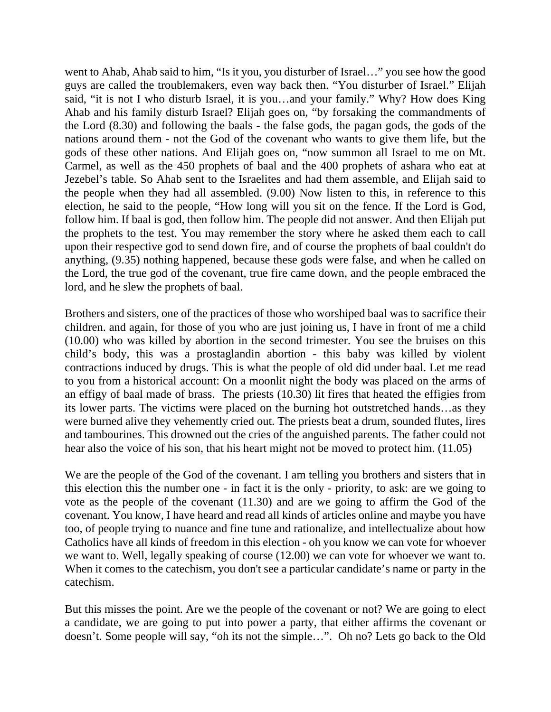went to Ahab, Ahab said to him, "Is it you, you disturber of Israel…" you see how the good guys are called the troublemakers, even way back then. "You disturber of Israel." Elijah said, "it is not I who disturb Israel, it is you…and your family." Why? How does King Ahab and his family disturb Israel? Elijah goes on, "by forsaking the commandments of the Lord (8.30) and following the baals - the false gods, the pagan gods, the gods of the nations around them - not the God of the covenant who wants to give them life, but the gods of these other nations. And Elijah goes on, "now summon all Israel to me on Mt. Carmel, as well as the 450 prophets of baal and the 400 prophets of ashara who eat at Jezebel's table. So Ahab sent to the Israelites and had them assemble, and Elijah said to the people when they had all assembled. (9.00) Now listen to this, in reference to this election, he said to the people, "How long will you sit on the fence. If the Lord is God, follow him. If baal is god, then follow him. The people did not answer. And then Elijah put the prophets to the test. You may remember the story where he asked them each to call upon their respective god to send down fire, and of course the prophets of baal couldn't do anything, (9.35) nothing happened, because these gods were false, and when he called on the Lord, the true god of the covenant, true fire came down, and the people embraced the lord, and he slew the prophets of baal.

Brothers and sisters, one of the practices of those who worshiped baal was to sacrifice their children. and again, for those of you who are just joining us, I have in front of me a child (10.00) who was killed by abortion in the second trimester. You see the bruises on this child's body, this was a prostaglandin abortion - this baby was killed by violent contractions induced by drugs. This is what the people of old did under baal. Let me read to you from a historical account: On a moonlit night the body was placed on the arms of an effigy of baal made of brass. The priests (10.30) lit fires that heated the effigies from its lower parts. The victims were placed on the burning hot outstretched hands…as they were burned alive they vehemently cried out. The priests beat a drum, sounded flutes, lires and tambourines. This drowned out the cries of the anguished parents. The father could not hear also the voice of his son, that his heart might not be moved to protect him. (11.05)

We are the people of the God of the covenant. I am telling you brothers and sisters that in this election this the number one - in fact it is the only - priority, to ask: are we going to vote as the people of the covenant (11.30) and are we going to affirm the God of the covenant. You know, I have heard and read all kinds of articles online and maybe you have too, of people trying to nuance and fine tune and rationalize, and intellectualize about how Catholics have all kinds of freedom in this election - oh you know we can vote for whoever we want to. Well, legally speaking of course (12.00) we can vote for whoever we want to. When it comes to the catechism, you don't see a particular candidate's name or party in the catechism.

But this misses the point. Are we the people of the covenant or not? We are going to elect a candidate, we are going to put into power a party, that either affirms the covenant or doesn't. Some people will say, "oh its not the simple…". Oh no? Lets go back to the Old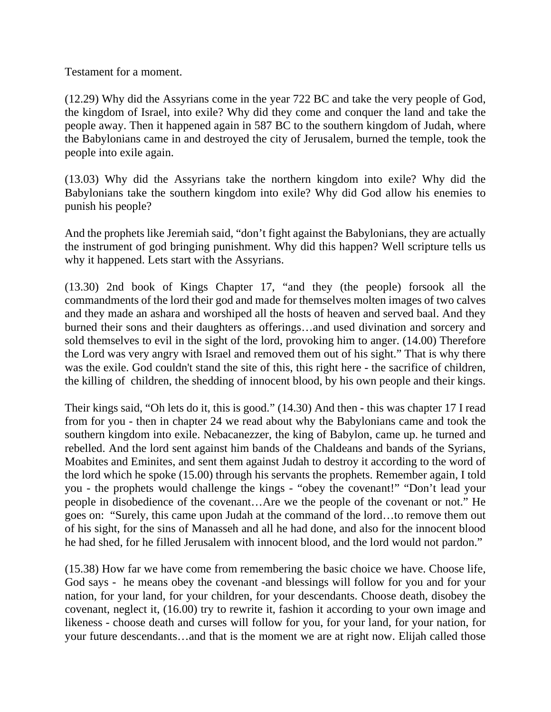Testament for a moment.

(12.29) Why did the Assyrians come in the year 722 BC and take the very people of God, the kingdom of Israel, into exile? Why did they come and conquer the land and take the people away. Then it happened again in 587 BC to the southern kingdom of Judah, where the Babylonians came in and destroyed the city of Jerusalem, burned the temple, took the people into exile again.

(13.03) Why did the Assyrians take the northern kingdom into exile? Why did the Babylonians take the southern kingdom into exile? Why did God allow his enemies to punish his people?

And the prophets like Jeremiah said, "don't fight against the Babylonians, they are actually the instrument of god bringing punishment. Why did this happen? Well scripture tells us why it happened. Lets start with the Assyrians.

(13.30) 2nd book of Kings Chapter 17, "and they (the people) forsook all the commandments of the lord their god and made for themselves molten images of two calves and they made an ashara and worshiped all the hosts of heaven and served baal. And they burned their sons and their daughters as offerings…and used divination and sorcery and sold themselves to evil in the sight of the lord, provoking him to anger. (14.00) Therefore the Lord was very angry with Israel and removed them out of his sight." That is why there was the exile. God couldn't stand the site of this, this right here - the sacrifice of children, the killing of children, the shedding of innocent blood, by his own people and their kings.

Their kings said, "Oh lets do it, this is good." (14.30) And then - this was chapter 17 I read from for you - then in chapter 24 we read about why the Babylonians came and took the southern kingdom into exile. Nebacanezzer, the king of Babylon, came up. he turned and rebelled. And the lord sent against him bands of the Chaldeans and bands of the Syrians, Moabites and Eminites, and sent them against Judah to destroy it according to the word of the lord which he spoke (15.00) through his servants the prophets. Remember again, I told you - the prophets would challenge the kings - "obey the covenant!" "Don't lead your people in disobedience of the covenant…Are we the people of the covenant or not." He goes on: "Surely, this came upon Judah at the command of the lord…to remove them out of his sight, for the sins of Manasseh and all he had done, and also for the innocent blood he had shed, for he filled Jerusalem with innocent blood, and the lord would not pardon."

(15.38) How far we have come from remembering the basic choice we have. Choose life, God says - he means obey the covenant -and blessings will follow for you and for your nation, for your land, for your children, for your descendants. Choose death, disobey the covenant, neglect it, (16.00) try to rewrite it, fashion it according to your own image and likeness - choose death and curses will follow for you, for your land, for your nation, for your future descendants…and that is the moment we are at right now. Elijah called those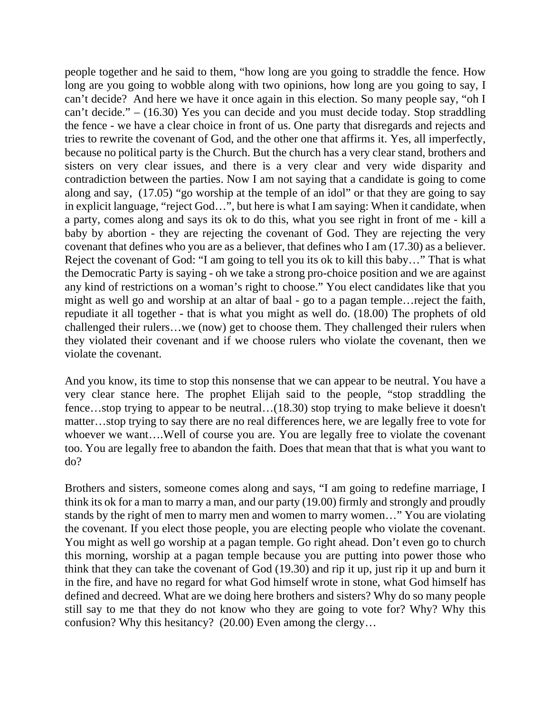people together and he said to them, "how long are you going to straddle the fence. How long are you going to wobble along with two opinions, how long are you going to say, I can't decide? And here we have it once again in this election. So many people say, "oh I can't decide." – (16.30) Yes you can decide and you must decide today. Stop straddling the fence - we have a clear choice in front of us. One party that disregards and rejects and tries to rewrite the covenant of God, and the other one that affirms it. Yes, all imperfectly, because no political party is the Church. But the church has a very clear stand, brothers and sisters on very clear issues, and there is a very clear and very wide disparity and contradiction between the parties. Now I am not saying that a candidate is going to come along and say, (17.05) "go worship at the temple of an idol" or that they are going to say in explicit language, "reject God…", but here is what I am saying: When it candidate, when a party, comes along and says its ok to do this, what you see right in front of me - kill a baby by abortion - they are rejecting the covenant of God. They are rejecting the very covenant that defines who you are as a believer, that defines who I am (17.30) as a believer. Reject the covenant of God: "I am going to tell you its ok to kill this baby…" That is what the Democratic Party is saying - oh we take a strong pro-choice position and we are against any kind of restrictions on a woman's right to choose." You elect candidates like that you might as well go and worship at an altar of baal - go to a pagan temple…reject the faith, repudiate it all together - that is what you might as well do. (18.00) The prophets of old challenged their rulers…we (now) get to choose them. They challenged their rulers when they violated their covenant and if we choose rulers who violate the covenant, then we violate the covenant.

And you know, its time to stop this nonsense that we can appear to be neutral. You have a very clear stance here. The prophet Elijah said to the people, "stop straddling the fence…stop trying to appear to be neutral…(18.30) stop trying to make believe it doesn't matter…stop trying to say there are no real differences here, we are legally free to vote for whoever we want….Well of course you are. You are legally free to violate the covenant too. You are legally free to abandon the faith. Does that mean that that is what you want to do?

Brothers and sisters, someone comes along and says, "I am going to redefine marriage, I think its ok for a man to marry a man, and our party (19.00) firmly and strongly and proudly stands by the right of men to marry men and women to marry women…" You are violating the covenant. If you elect those people, you are electing people who violate the covenant. You might as well go worship at a pagan temple. Go right ahead. Don't even go to church this morning, worship at a pagan temple because you are putting into power those who think that they can take the covenant of God (19.30) and rip it up, just rip it up and burn it in the fire, and have no regard for what God himself wrote in stone, what God himself has defined and decreed. What are we doing here brothers and sisters? Why do so many people still say to me that they do not know who they are going to vote for? Why? Why this confusion? Why this hesitancy? (20.00) Even among the clergy…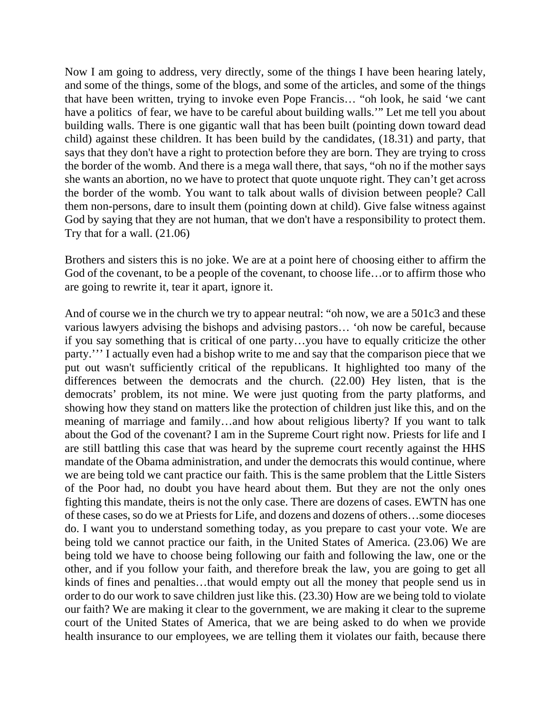Now I am going to address, very directly, some of the things I have been hearing lately, and some of the things, some of the blogs, and some of the articles, and some of the things that have been written, trying to invoke even Pope Francis… "oh look, he said 'we cant have a politics of fear, we have to be careful about building walls.'" Let me tell you about building walls. There is one gigantic wall that has been built (pointing down toward dead child) against these children. It has been build by the candidates, (18.31) and party, that says that they don't have a right to protection before they are born. They are trying to cross the border of the womb. And there is a mega wall there, that says, "oh no if the mother says she wants an abortion, no we have to protect that quote unquote right. They can't get across the border of the womb. You want to talk about walls of division between people? Call them non-persons, dare to insult them (pointing down at child). Give false witness against God by saying that they are not human, that we don't have a responsibility to protect them. Try that for a wall. (21.06)

Brothers and sisters this is no joke. We are at a point here of choosing either to affirm the God of the covenant, to be a people of the covenant, to choose life…or to affirm those who are going to rewrite it, tear it apart, ignore it.

And of course we in the church we try to appear neutral: "oh now, we are a 501c3 and these various lawyers advising the bishops and advising pastors… 'oh now be careful, because if you say something that is critical of one party…you have to equally criticize the other party.''' I actually even had a bishop write to me and say that the comparison piece that we put out wasn't sufficiently critical of the republicans. It highlighted too many of the differences between the democrats and the church. (22.00) Hey listen, that is the democrats' problem, its not mine. We were just quoting from the party platforms, and showing how they stand on matters like the protection of children just like this, and on the meaning of marriage and family…and how about religious liberty? If you want to talk about the God of the covenant? I am in the Supreme Court right now. Priests for life and I are still battling this case that was heard by the supreme court recently against the HHS mandate of the Obama administration, and under the democrats this would continue, where we are being told we cant practice our faith. This is the same problem that the Little Sisters of the Poor had, no doubt you have heard about them. But they are not the only ones fighting this mandate, theirs is not the only case. There are dozens of cases. EWTN has one of these cases, so do we at Priests for Life, and dozens and dozens of others…some dioceses do. I want you to understand something today, as you prepare to cast your vote. We are being told we cannot practice our faith, in the United States of America. (23.06) We are being told we have to choose being following our faith and following the law, one or the other, and if you follow your faith, and therefore break the law, you are going to get all kinds of fines and penalties…that would empty out all the money that people send us in order to do our work to save children just like this. (23.30) How are we being told to violate our faith? We are making it clear to the government, we are making it clear to the supreme court of the United States of America, that we are being asked to do when we provide health insurance to our employees, we are telling them it violates our faith, because there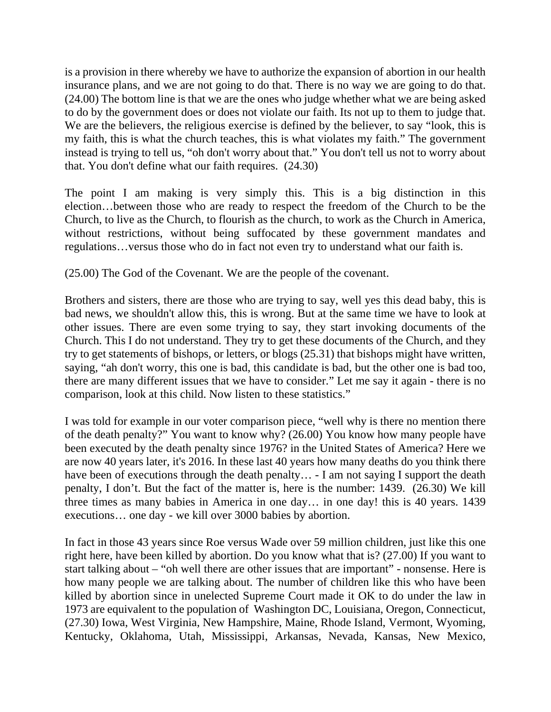is a provision in there whereby we have to authorize the expansion of abortion in our health insurance plans, and we are not going to do that. There is no way we are going to do that. (24.00) The bottom line is that we are the ones who judge whether what we are being asked to do by the government does or does not violate our faith. Its not up to them to judge that. We are the believers, the religious exercise is defined by the believer, to say "look, this is my faith, this is what the church teaches, this is what violates my faith." The government instead is trying to tell us, "oh don't worry about that." You don't tell us not to worry about that. You don't define what our faith requires. (24.30)

The point I am making is very simply this. This is a big distinction in this election…between those who are ready to respect the freedom of the Church to be the Church, to live as the Church, to flourish as the church, to work as the Church in America, without restrictions, without being suffocated by these government mandates and regulations…versus those who do in fact not even try to understand what our faith is.

(25.00) The God of the Covenant. We are the people of the covenant.

Brothers and sisters, there are those who are trying to say, well yes this dead baby, this is bad news, we shouldn't allow this, this is wrong. But at the same time we have to look at other issues. There are even some trying to say, they start invoking documents of the Church. This I do not understand. They try to get these documents of the Church, and they try to get statements of bishops, or letters, or blogs (25.31) that bishops might have written, saying, "ah don't worry, this one is bad, this candidate is bad, but the other one is bad too, there are many different issues that we have to consider." Let me say it again - there is no comparison, look at this child. Now listen to these statistics."

I was told for example in our voter comparison piece, "well why is there no mention there of the death penalty?" You want to know why? (26.00) You know how many people have been executed by the death penalty since 1976? in the United States of America? Here we are now 40 years later, it's 2016. In these last 40 years how many deaths do you think there have been of executions through the death penalty... - I am not saying I support the death penalty, I don't. But the fact of the matter is, here is the number: 1439. (26.30) We kill three times as many babies in America in one day… in one day! this is 40 years. 1439 executions… one day - we kill over 3000 babies by abortion.

In fact in those 43 years since Roe versus Wade over 59 million children, just like this one right here, have been killed by abortion. Do you know what that is? (27.00) If you want to start talking about – "oh well there are other issues that are important" - nonsense. Here is how many people we are talking about. The number of children like this who have been killed by abortion since in unelected Supreme Court made it OK to do under the law in 1973 are equivalent to the population of Washington DC, Louisiana, Oregon, Connecticut, (27.30) Iowa, West Virginia, New Hampshire, Maine, Rhode Island, Vermont, Wyoming, Kentucky, Oklahoma, Utah, Mississippi, Arkansas, Nevada, Kansas, New Mexico,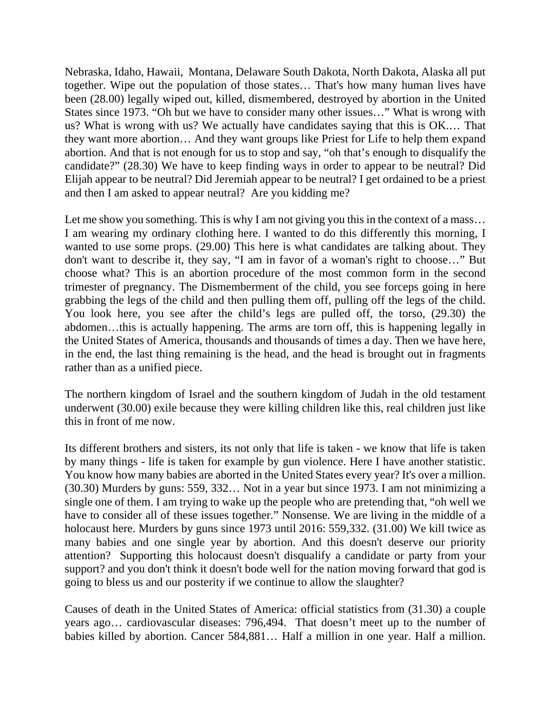Nebraska, Idaho, Hawaii, Montana, Delaware South Dakota, North Dakota, Alaska all put together. Wipe out the population of those states… That's how many human lives have been (28.00) legally wiped out, killed, dismembered, destroyed by abortion in the United States since 1973. "Oh but we have to consider many other issues…" What is wrong with us? What is wrong with us? We actually have candidates saying that this is OK.… That they want more abortion… And they want groups like Priest for Life to help them expand abortion. And that is not enough for us to stop and say, "oh that's enough to disqualify the candidate?" (28.30) We have to keep finding ways in order to appear to be neutral? Did Elijah appear to be neutral? Did Jeremiah appear to be neutral? I get ordained to be a priest and then I am asked to appear neutral? Are you kidding me?

Let me show you something. This is why I am not giving you this in the context of a mass... I am wearing my ordinary clothing here. I wanted to do this differently this morning, I wanted to use some props. (29.00) This here is what candidates are talking about. They don't want to describe it, they say, "I am in favor of a woman's right to choose…" But choose what? This is an abortion procedure of the most common form in the second trimester of pregnancy. The Dismemberment of the child, you see forceps going in here grabbing the legs of the child and then pulling them off, pulling off the legs of the child. You look here, you see after the child's legs are pulled off, the torso, (29.30) the abdomen…this is actually happening. The arms are torn off, this is happening legally in the United States of America, thousands and thousands of times a day. Then we have here, in the end, the last thing remaining is the head, and the head is brought out in fragments rather than as a unified piece.

The northern kingdom of Israel and the southern kingdom of Judah in the old testament underwent (30.00) exile because they were killing children like this, real children just like this in front of me now.

Its different brothers and sisters, its not only that life is taken - we know that life is taken by many things - life is taken for example by gun violence. Here I have another statistic. You know how many babies are aborted in the United States every year? It's over a million. (30.30) Murders by guns: 559, 332… Not in a year but since 1973. I am not minimizing a single one of them. I am trying to wake up the people who are pretending that, "oh well we have to consider all of these issues together." Nonsense. We are living in the middle of a holocaust here. Murders by guns since 1973 until 2016: 559,332. (31.00) We kill twice as many babies and one single year by abortion. And this doesn't deserve our priority attention? Supporting this holocaust doesn't disqualify a candidate or party from your support? and you don't think it doesn't bode well for the nation moving forward that god is going to bless us and our posterity if we continue to allow the slaughter?

Causes of death in the United States of America: official statistics from (31.30) a couple years ago… cardiovascular diseases: 796,494. That doesn't meet up to the number of babies killed by abortion. Cancer 584,881… Half a million in one year. Half a million.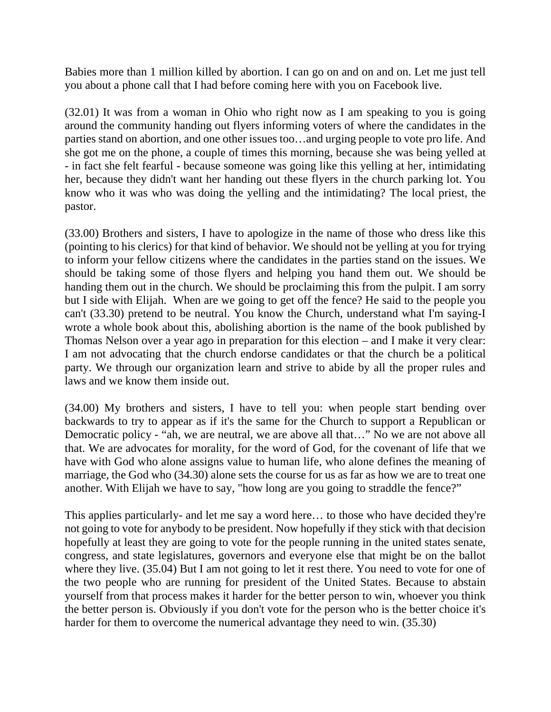Babies more than 1 million killed by abortion. I can go on and on and on. Let me just tell you about a phone call that I had before coming here with you on Facebook live.

(32.01) It was from a woman in Ohio who right now as I am speaking to you is going around the community handing out flyers informing voters of where the candidates in the parties stand on abortion, and one other issues too…and urging people to vote pro life. And she got me on the phone, a couple of times this morning, because she was being yelled at - in fact she felt fearful - because someone was going like this yelling at her, intimidating her, because they didn't want her handing out these flyers in the church parking lot. You know who it was who was doing the yelling and the intimidating? The local priest, the pastor.

(33.00) Brothers and sisters, I have to apologize in the name of those who dress like this (pointing to his clerics) for that kind of behavior. We should not be yelling at you for trying to inform your fellow citizens where the candidates in the parties stand on the issues. We should be taking some of those flyers and helping you hand them out. We should be handing them out in the church. We should be proclaiming this from the pulpit. I am sorry but I side with Elijah. When are we going to get off the fence? He said to the people you can't (33.30) pretend to be neutral. You know the Church, understand what I'm saying-I wrote a whole book about this, abolishing abortion is the name of the book published by Thomas Nelson over a year ago in preparation for this election – and I make it very clear: I am not advocating that the church endorse candidates or that the church be a political party. We through our organization learn and strive to abide by all the proper rules and laws and we know them inside out.

(34.00) My brothers and sisters, I have to tell you: when people start bending over backwards to try to appear as if it's the same for the Church to support a Republican or Democratic policy - "ah, we are neutral, we are above all that..." No we are not above all that. We are advocates for morality, for the word of God, for the covenant of life that we have with God who alone assigns value to human life, who alone defines the meaning of marriage, the God who (34.30) alone sets the course for us as far as how we are to treat one another. With Elijah we have to say, "how long are you going to straddle the fence?"

This applies particularly- and let me say a word here… to those who have decided they're not going to vote for anybody to be president. Now hopefully if they stick with that decision hopefully at least they are going to vote for the people running in the united states senate, congress, and state legislatures, governors and everyone else that might be on the ballot where they live. (35.04) But I am not going to let it rest there. You need to vote for one of the two people who are running for president of the United States. Because to abstain yourself from that process makes it harder for the better person to win, whoever you think the better person is. Obviously if you don't vote for the person who is the better choice it's harder for them to overcome the numerical advantage they need to win. (35.30)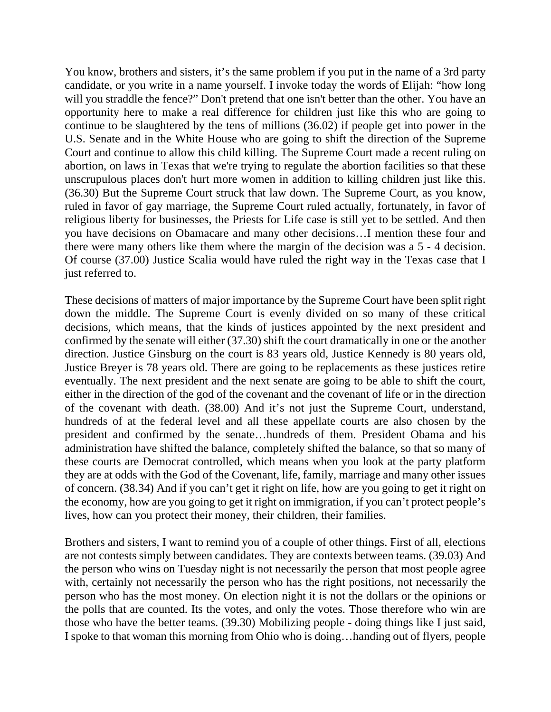You know, brothers and sisters, it's the same problem if you put in the name of a 3rd party candidate, or you write in a name yourself. I invoke today the words of Elijah: "how long will you straddle the fence?" Don't pretend that one isn't better than the other. You have an opportunity here to make a real difference for children just like this who are going to continue to be slaughtered by the tens of millions (36.02) if people get into power in the U.S. Senate and in the White House who are going to shift the direction of the Supreme Court and continue to allow this child killing. The Supreme Court made a recent ruling on abortion, on laws in Texas that we're trying to regulate the abortion facilities so that these unscrupulous places don't hurt more women in addition to killing children just like this. (36.30) But the Supreme Court struck that law down. The Supreme Court, as you know, ruled in favor of gay marriage, the Supreme Court ruled actually, fortunately, in favor of religious liberty for businesses, the Priests for Life case is still yet to be settled. And then you have decisions on Obamacare and many other decisions…I mention these four and there were many others like them where the margin of the decision was a 5 - 4 decision. Of course (37.00) Justice Scalia would have ruled the right way in the Texas case that I just referred to.

These decisions of matters of major importance by the Supreme Court have been split right down the middle. The Supreme Court is evenly divided on so many of these critical decisions, which means, that the kinds of justices appointed by the next president and confirmed by the senate will either (37.30) shift the court dramatically in one or the another direction. Justice Ginsburg on the court is 83 years old, Justice Kennedy is 80 years old, Justice Breyer is 78 years old. There are going to be replacements as these justices retire eventually. The next president and the next senate are going to be able to shift the court, either in the direction of the god of the covenant and the covenant of life or in the direction of the covenant with death. (38.00) And it's not just the Supreme Court, understand, hundreds of at the federal level and all these appellate courts are also chosen by the president and confirmed by the senate…hundreds of them. President Obama and his administration have shifted the balance, completely shifted the balance, so that so many of these courts are Democrat controlled, which means when you look at the party platform they are at odds with the God of the Covenant, life, family, marriage and many other issues of concern. (38.34) And if you can't get it right on life, how are you going to get it right on the economy, how are you going to get it right on immigration, if you can't protect people's lives, how can you protect their money, their children, their families.

Brothers and sisters, I want to remind you of a couple of other things. First of all, elections are not contests simply between candidates. They are contexts between teams. (39.03) And the person who wins on Tuesday night is not necessarily the person that most people agree with, certainly not necessarily the person who has the right positions, not necessarily the person who has the most money. On election night it is not the dollars or the opinions or the polls that are counted. Its the votes, and only the votes. Those therefore who win are those who have the better teams. (39.30) Mobilizing people - doing things like I just said, I spoke to that woman this morning from Ohio who is doing…handing out of flyers, people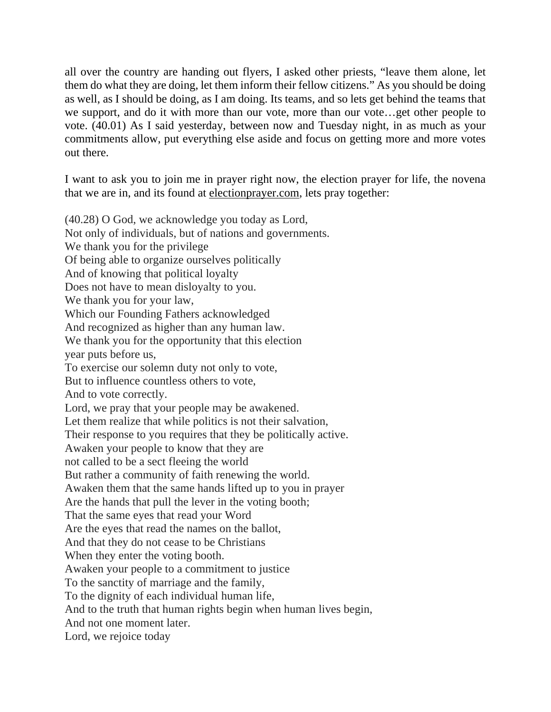all over the country are handing out flyers, I asked other priests, "leave them alone, let them do what they are doing, let them inform their fellow citizens." As you should be doing as well, as I should be doing, as I am doing. Its teams, and so lets get behind the teams that we support, and do it with more than our vote, more than our vote…get other people to vote. (40.01) As I said yesterday, between now and Tuesday night, in as much as your commitments allow, put everything else aside and focus on getting more and more votes out there.

I want to ask you to join me in prayer right now, the election prayer for life, the novena that we are in, and its found at [electionprayer.com,](http://electionprayer.com/) lets pray together:

(40.28) O God, we acknowledge you today as Lord, Not only of individuals, but of nations and governments. We thank you for the privilege Of being able to organize ourselves politically And of knowing that political loyalty Does not have to mean disloyalty to you. We thank you for your law, Which our Founding Fathers acknowledged And recognized as higher than any human law. We thank you for the opportunity that this election year puts before us, To exercise our solemn duty not only to vote, But to influence countless others to vote, And to vote correctly. Lord, we pray that your people may be awakened. Let them realize that while politics is not their salvation, Their response to you requires that they be politically active. Awaken your people to know that they are not called to be a sect fleeing the world But rather a community of faith renewing the world. Awaken them that the same hands lifted up to you in prayer Are the hands that pull the lever in the voting booth; That the same eyes that read your Word Are the eyes that read the names on the ballot, And that they do not cease to be Christians When they enter the voting booth. Awaken your people to a commitment to justice To the sanctity of marriage and the family, To the dignity of each individual human life, And to the truth that human rights begin when human lives begin, And not one moment later. Lord, we rejoice today